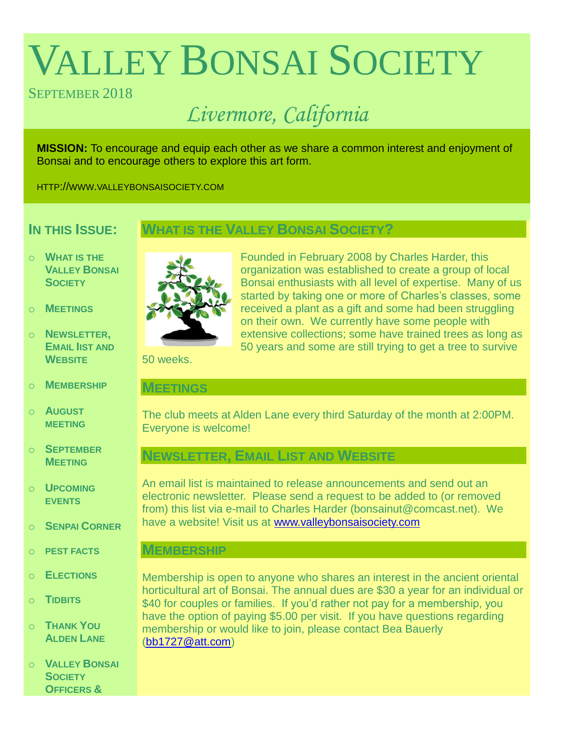# VALLEY BONSAI SOCIETY

# SEPTEMBER 2018

# *Livermore, California*

**MISSION:** To encourage and equip each other as we share a common interest and enjoyment of Bonsai and to encourage others to explore this art form.

HTTP://WWW.VALLEYBONSAISOCIETY.COM

# **IN THIS ISSUE:**

# **WHAT IS THE VALLEY BONSAI SOCIETY?**

- o **WHAT IS THE VALLEY BONSAI SOCIETY**
- o **MEETINGS**
- o **NEWSLETTER, EMAIL IIST AND WEBSITE**
- o **MEMBERSHIP**
- o **AUGUST MEETING**
- o **SEPTEMBER MEETING**
- o **UPCOMING EVENTS**
- o **SENPAI CORNER**
- o **PEST FACTS**
- o **ELECTIONS**
- o **TIDBITS**
- o **THANK YOU ALDEN LANE**
- o **VALLEY BONSAI SOCIETY OFFICERS &**



Founded in February 2008 by Charles Harder, this organization was established to create a group of local Bonsai enthusiasts with all level of expertise. Many of us started by taking one or more of Charles's classes, some received a plant as a gift and some had been struggling on their own. We currently have some people with extensive collections; some have trained trees as long as 50 years and some are still trying to get a tree to survive

50 weeks.

#### **MEETINGS**

The club meets at Alden Lane every third Saturday of the month at 2:00PM. Everyone is welcome!

# **NEWSLETTER, EMAIL LIST AND WEBSITE**

An email list is maintained to release announcements and send out an electronic newsletter. Please send a request to be added to (or removed from) this list via e-mail to Charles Harder (bonsainut@comcast.net). We have a website! Visit us at [www.valleybonsaisociety.com](http://www.valleybonsaisociety.com/)

### **MEMBERSHIP**

Membership is open to anyone who shares an interest in the ancient oriental horticultural art of Bonsai. The annual dues are \$30 a year for an individual or \$40 for couples or families. If you'd rather not pay for a membership, you have the option of paying \$5.00 per visit. If you have questions regarding membership or would like to join, please contact Bea Bauerly [\(bb1727@att.com\)](mailto:bb1727@att.com)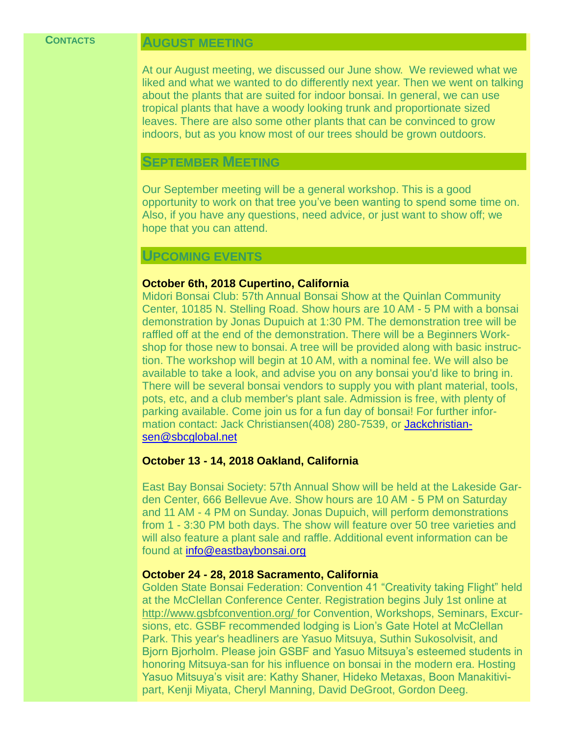#### **CONTACTS**

#### **AUGUST MEETING**

At our August meeting, we discussed our June show. We reviewed what we liked and what we wanted to do differently next year. Then we went on talking about the plants that are suited for indoor bonsai. In general, we can use tropical plants that have a woody looking trunk and proportionate sized leaves. There are also some other plants that can be convinced to grow indoors, but as you know most of our trees should be grown outdoors.

#### **SEPTEMBER MEETING**

Our September meeting will be a general workshop. This is a good opportunity to work on that tree you've been wanting to spend some time on. Also, if you have any questions, need advice, or just want to show off; we hope that you can attend.

#### **UPCOMING EVENTS**

#### **October 6th, 2018 Cupertino, California**

Midori Bonsai Club: 57th Annual Bonsai Show at the Quinlan Community Center, 10185 N. Stelling Road. Show hours are 10 AM - 5 PM with a bonsai demonstration by Jonas Dupuich at 1:30 PM. The demonstration tree will be raffled off at the end of the demonstration. There will be a Beginners Workshop for those new to bonsai. A tree will be provided along with basic instruction. The workshop will begin at 10 AM, with a nominal fee. We will also be available to take a look, and advise you on any bonsai you'd like to bring in. There will be several bonsai vendors to supply you with plant material, tools, pots, etc, and a club member's plant sale. Admission is free, with plenty of parking available. Come join us for a fun day of bonsai! For further information contact: Jack Christiansen(408) 280-7539, or [Jackchristian](mailto:Jackchristiansen@sbcglobal.net)[sen@sbcglobal.net](mailto:Jackchristiansen@sbcglobal.net)

#### **October 13 - 14, 2018 Oakland, California**

East Bay Bonsai Society: 57th Annual Show will be held at the Lakeside Garden Center, 666 Bellevue Ave. Show hours are 10 AM - 5 PM on Saturday and 11 AM - 4 PM on Sunday. Jonas Dupuich, will perform demonstrations from 1 - 3:30 PM both days. The show will feature over 50 tree varieties and will also feature a plant sale and raffle. Additional event information can be found at [info@eastbaybonsai.org](mailto:info@eastbaybonsai.org)

#### **October 24 - 28, 2018 Sacramento, California**

Golden State Bonsai Federation: Convention 41 "Creativity taking Flight" held at the McClellan Conference Center. Registration begins July 1st online at [http://www.gsbfconvention.org/ f](http://www.gsbfconvention.org/)or Convention, Workshops, Seminars, Excursions, etc. GSBF recommended lodging is Lion's Gate Hotel at McClellan Park. This year's headliners are Yasuo Mitsuya, Suthin Sukosolvisit, and Bjorn Bjorholm. Please join GSBF and Yasuo Mitsuya's esteemed students in honoring Mitsuya-san for his influence on bonsai in the modern era. Hosting Yasuo Mitsuya's visit are: Kathy Shaner, Hideko Metaxas, Boon Manakitivipart, Kenji Miyata, Cheryl Manning, David DeGroot, Gordon Deeg.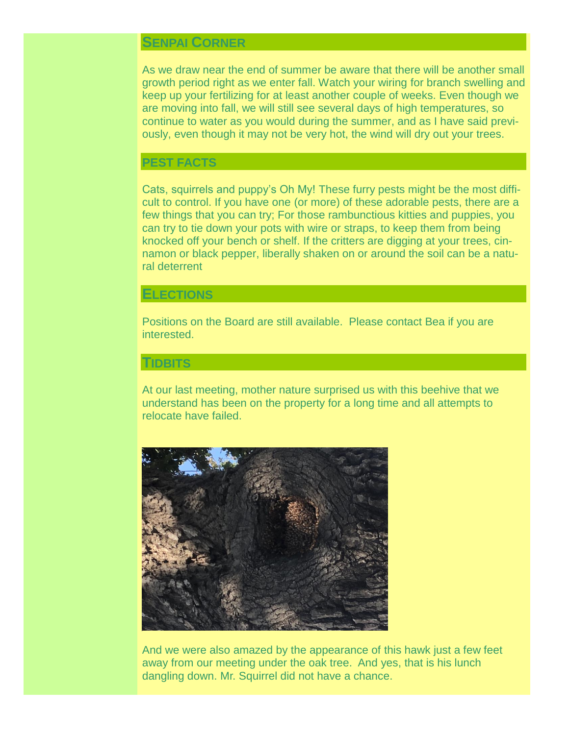## **SENPAI CORNER**

As we draw near the end of summer be aware that there will be another small growth period right as we enter fall. Watch your wiring for branch swelling and keep up your fertilizing for at least another couple of weeks. Even though we are moving into fall, we will still see several days of high temperatures, so continue to water as you would during the summer, and as I have said previously, even though it may not be very hot, the wind will dry out your trees.

#### **PEST FACTS**

Cats, squirrels and puppy's Oh My! These furry pests might be the most difficult to control. If you have one (or more) of these adorable pests, there are a few things that you can try; For those rambunctious kitties and puppies, you can try to tie down your pots with wire or straps, to keep them from being knocked off your bench or shelf. If the critters are digging at your trees, cinnamon or black pepper, liberally shaken on or around the soil can be a natural deterrent

#### **ELECTIONS**

Positions on the Board are still available. Please contact Bea if you are interested.

#### **TIDBITS**

At our last meeting, mother nature surprised us with this beehive that we understand has been on the property for a long time and all attempts to relocate have failed.



And we were also amazed by the appearance of this hawk just a few feet away from our meeting under the oak tree. And yes, that is his lunch dangling down. Mr. Squirrel did not have a chance.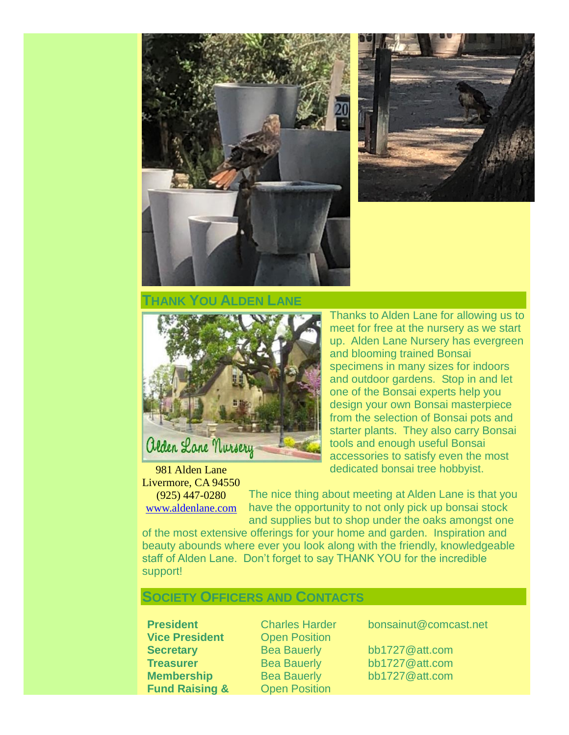



#### **THANK YOU ALDEN LANE**



Thanks to Alden Lane for allowing us to meet for free at the nursery as we start up. Alden Lane Nursery has evergreen and blooming trained Bonsai specimens in many sizes for indoors and outdoor gardens. Stop in and let one of the Bonsai experts help you design your own Bonsai masterpiece from the selection of Bonsai pots and starter plants. They also carry Bonsai tools and enough useful Bonsai accessories to satisfy even the most dedicated bonsai tree hobbyist.

981 Alden Lane Livermore, CA 94550 (925) 447-0280

[www.aldenlane.com](http://www.aldenlane.com/)

The nice thing about meeting at Alden Lane is that you have the opportunity to not only pick up bonsai stock and supplies but to shop under the oaks amongst one

of the most extensive offerings for your home and garden. Inspiration and beauty abounds where ever you look along with the friendly, knowledgeable staff of Alden Lane. Don't forget to say THANK YOU for the incredible support!

#### **SOCIETY OFFICERS AND CONTACTS**

**Vice President** Open Position **Fund Raising & Open Position** 

**President** Charles Harder bonsainut@comcast.net

**Secretary** Bea Bauerly bb1727@att.com **Treasurer** Bea Bauerly bb1727@att.com **Membership** Bea Bauerly bb1727@att.com